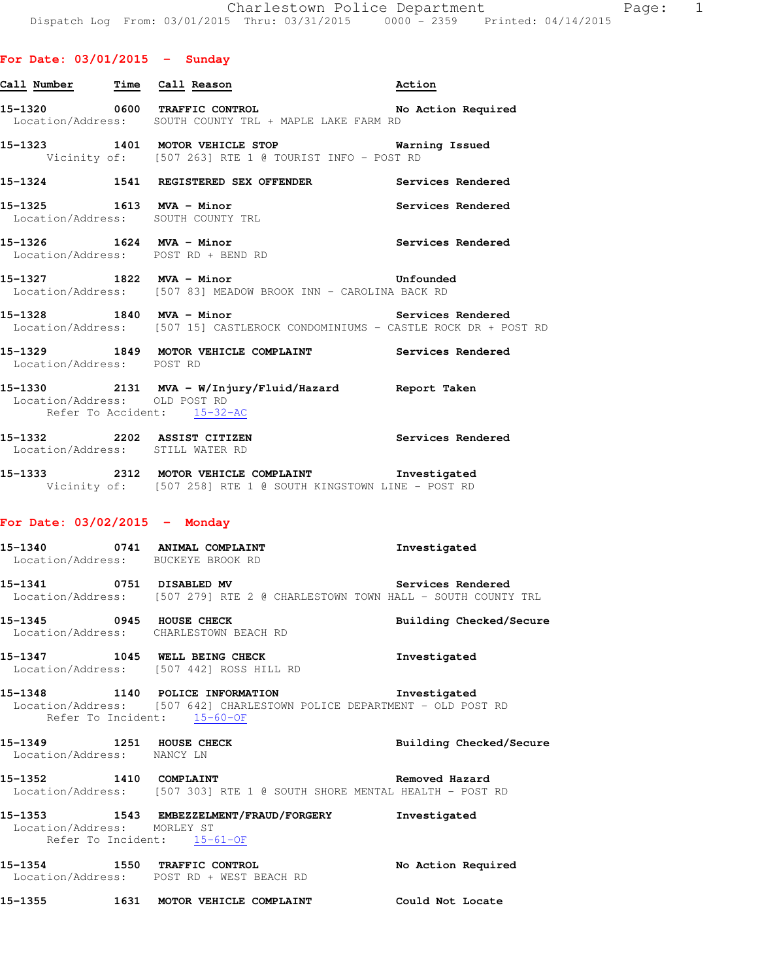| 15-1320           |  | 0600 TRAFFIC CONTROL                  |  |  |  | No Action Required |  |
|-------------------|--|---------------------------------------|--|--|--|--------------------|--|
| Location/Address: |  | SOUTH COUNTY TRL + MAPLE LAKE FARM RD |  |  |  |                    |  |

**Call Number Time Call Reason Action** 

**15-1323 1401 MOTOR VEHICLE STOP Warning Issued**  Vicinity of: [507 263] RTE 1 @ TOURIST INFO - POST RD

**15-1324 1541 REGISTERED SEX OFFENDER Services Rendered 15-1325 1613 MVA - Minor Services Rendered** 

- Location/Address: SOUTH COUNTY TRL
- **15-1326 1624 MVA Minor Services Rendered**  Location/Address: POST RD + BEND RD
- **15-1327 1822 MVA Minor Unfounded**  Location/Address: [507 83] MEADOW BROOK INN - CAROLINA BACK RD
- 15-1328 1840 MVA Minor **1840 MVA Minor** Services Rendered Location/Address: [507 15] CASTLEROCK CONDOMINIUMS - CASTLE ROCK DR + POST RD
- **15-1329 1849 MOTOR VEHICLE COMPLAINT Services Rendered**  Location/Address: POST RD
- **15-1330 2131 MVA W/Injury/Fluid/Hazard Report Taken**  Location/Address: OLD POST RD Refer To Accident: 15-32-AC
- **15-1332 2202 ASSIST CITIZEN Services Rendered**  Location/Address: STILL WATER RD
- **15-1333 2312 MOTOR VEHICLE COMPLAINT Investigated**  Vicinity of: [507 258] RTE 1 @ SOUTH KINGSTOWN LINE - POST RD

### **For Date: 03/02/2015 - Monday**

**15-1340 0741 ANIMAL COMPLAINT Investigated**  Location/Address: BUCKEYE BROOK RD

- **15-1341 0751 DISABLED MV Services Rendered**  Location/Address: [507 279] RTE 2 @ CHARLESTOWN TOWN HALL - SOUTH COUNTY TRL
- **15-1345 0945 HOUSE CHECK Building Checked/Secure**  Location/Address: CHARLESTOWN BEACH RD

**15-1347 1045 WELL BEING CHECK Investigated**  Location/Address: [507 442] ROSS HILL RD

**15-1348 1140 POLICE INFORMATION Investigated**  Location/Address: [507 642] CHARLESTOWN POLICE DEPARTMENT - OLD POST RD Refer To Incident: 15-60-OF

- **15-1349 1251 HOUSE CHECK Building Checked/Secure**  Location/Address: NANCY LN **15-1352 1410 COMPLAINT Removed Hazard**  Location/Address: [507 303] RTE 1 @ SOUTH SHORE MENTAL HEALTH - POST RD
- **15-1353 1543 EMBEZZELMENT/FRAUD/FORGERY Investigated**  Location/Address: MORLEY ST Refer To Incident: 15-61-OF

**15-1354 1550 TRAFFIC CONTROL No Action Required**  Location/Address: POST RD + WEST BEACH RD

**15-1355 1631 MOTOR VEHICLE COMPLAINT Could Not Locate**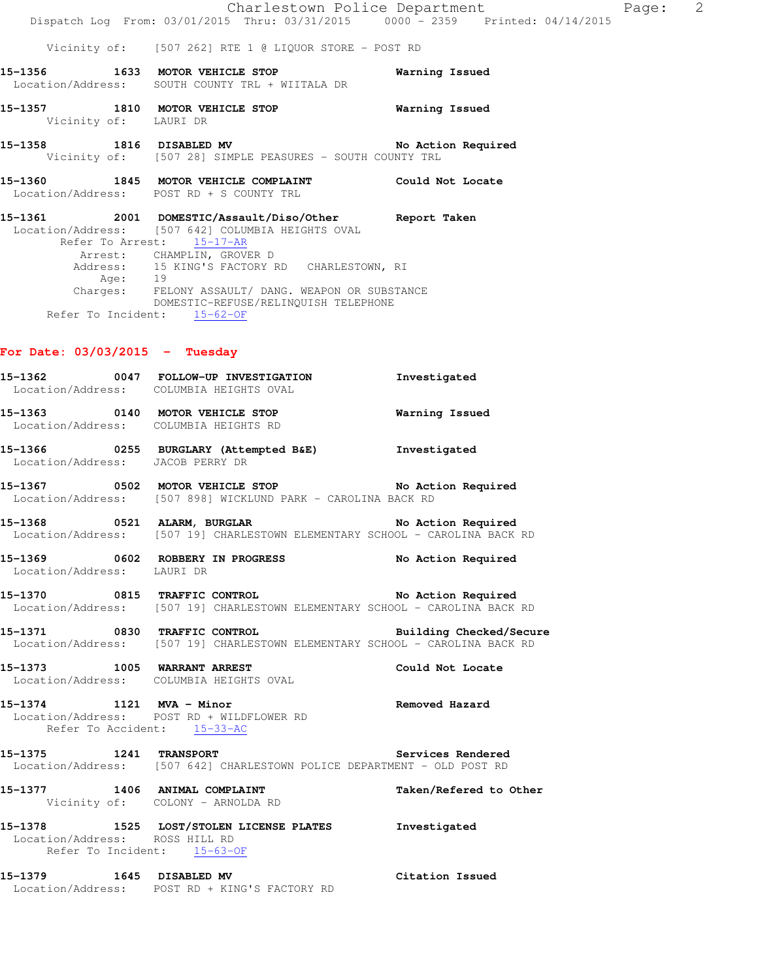|  | Charlestown Police Department                         |                                     |  | Page: | -2 |
|--|-------------------------------------------------------|-------------------------------------|--|-------|----|
|  | Dispatch Log From: 03/01/2015 Thru: 03/31/2015        | $0000 - 2359$ Printed: $04/14/2015$ |  |       |    |
|  |                                                       |                                     |  |       |    |
|  | Vicinity of: [507 262] RTE 1 @ LIQUOR STORE - POST RD |                                     |  |       |    |

**15-1356 1633 MOTOR VEHICLE STOP Warning Issued**  Location/Address: SOUTH COUNTY TRL + WIITALA DR

 Vicinity of: LAURI DR 15-1358 1816 DISABLED MV **No Action Required** 

**15-1357 1810 MOTOR VEHICLE STOP Warning Issued** 

Vicinity of: [507 28] SIMPLE PEASURES - SOUTH COUNTY TRL

**15-1360 1845 MOTOR VEHICLE COMPLAINT Could Not Locate**  Location/Address: POST RD + S COUNTY TRL

**15-1361 2001 DOMESTIC/Assault/Diso/Other Report Taken**  Location/Address: [507 642] COLUMBIA HEIGHTS OVAL Refer To Arrest: 15-17-AR Arrest: CHAMPLIN, GROVER D Address: 15 KING'S FACTORY RD CHARLESTOWN, RI Age: 19 Charges: FELONY ASSAULT/ DANG. WEAPON OR SUBSTANCE DOMESTIC-REFUSE/RELINQUISH TELEPHONE Refer To Incident:  $15-62-OF$ 

### **For Date: 03/03/2015 - Tuesday**

|                                | 15-1362 0047 FOLLOW-UP INVESTIGATION Investigated<br>Location/Address: COLUMBIA HEIGHTS OVAL                                        |                        |
|--------------------------------|-------------------------------------------------------------------------------------------------------------------------------------|------------------------|
|                                | 15-1363 0140 MOTOR VEHICLE STOP<br>Location/Address: COLUMBIA HEIGHTS RD                                                            | <b>Warning Issued</b>  |
|                                | 15-1366 0255 BURGLARY (Attempted B&E) Investigated<br>Location/Address: JACOB PERRY DR                                              |                        |
|                                | 15-1367 0502 MOTOR VEHICLE STOP No Action Required<br>Location/Address: [507 898] WICKLUND PARK - CAROLINA BACK RD                  |                        |
|                                | 15-1368 0521 ALARM, BURGLAR No Action Required<br>Location/Address: [507 19] CHARLESTOWN ELEMENTARY SCHOOL - CAROLINA BACK RD       |                        |
| Location/Address: LAURI DR     | 15-1369 0602 ROBBERY IN PROGRESS No Action Required                                                                                 |                        |
|                                | 15-1370 0815 TRAFFIC CONTROL No Action Required<br>Location/Address: [507 19] CHARLESTOWN ELEMENTARY SCHOOL - CAROLINA BACK RD      |                        |
|                                | 15-1371 0830 TRAFFIC CONTROL Building Checked/Secure<br>Location/Address: [507 19] CHARLESTOWN ELEMENTARY SCHOOL - CAROLINA BACK RD |                        |
|                                | 15-1373 1005 WARRANT ARREST COLUMBIA HEIGHTS OVAL Could Not Locate                                                                  |                        |
|                                | Location/Address: POST RD + WILDFLOWER RD<br>Refer To Accident: 15-33-AC                                                            |                        |
|                                | 15-1375 1241 TRANSPORT Services Rendered<br>Location/Address: [507 642] CHARLESTOWN POLICE DEPARTMENT - OLD POST RD                 |                        |
|                                | 15-1377 1406 ANIMAL COMPLAINT<br>Vicinity of: COLONY - ARNOLDA RD                                                                   | Taken/Refered to Other |
| Location/Address: ROSS HILL RD | 15-1378 1525 LOST/STOLEN LICENSE PLATES Investigated<br>Refer To Incident: 15-63-OF                                                 |                        |
|                                | 15-1379 1645 DISABLED MV<br>Location/Address: POST RD + KING'S FACTORY RD                                                           | Citation Issued        |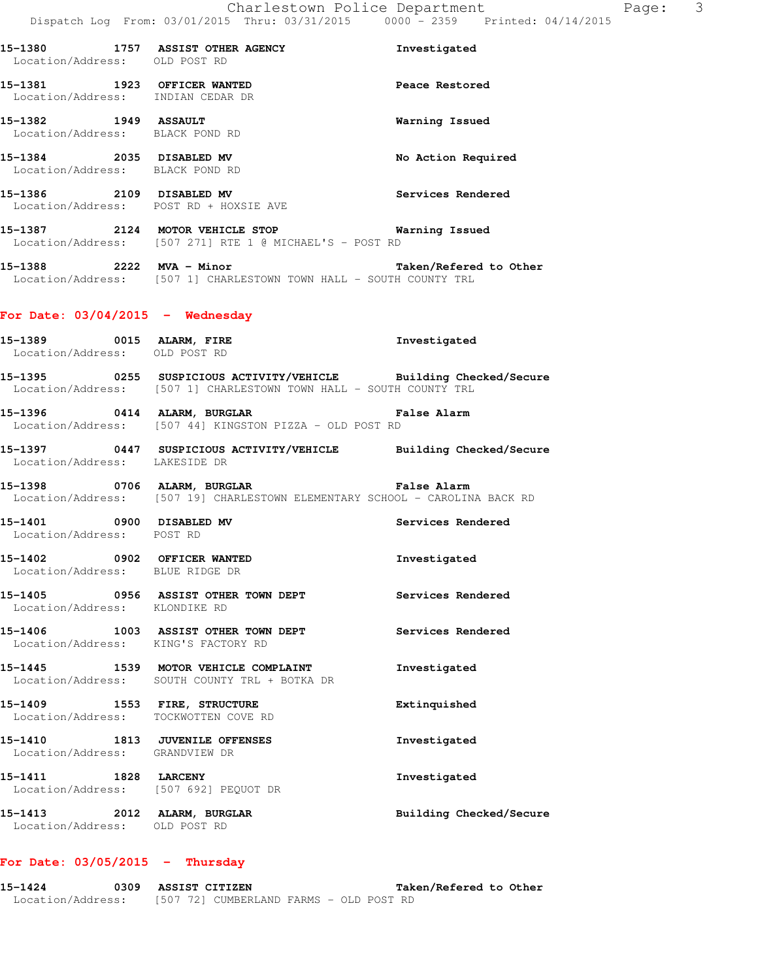**15-1380 1757 ASSIST OTHER AGENCY Investigated**  Location/Address: OLD POST RD **15-1381 1923 OFFICER WANTED Peace Restored**  Location/Address: INDIAN CEDAR DR **15-1382 1949 ASSAULT Warning Issued**  Location/Address: BLACK POND RD **15-1384 2035 DISABLED MV No Action Required**  Location/Address: BLACK POND RD **15-1386 2109 DISABLED MV Services Rendered**  Location/Address: POST RD + HOXSIE AVE **15-1387 2124 MOTOR VEHICLE STOP Warning Issued**  Location/Address: [507 271] RTE 1 @ MICHAEL'S - POST RD **15-1388 2222 MVA - Minor Taken/Refered to Other**  Location/Address: [507 1] CHARLESTOWN TOWN HALL - SOUTH COUNTY TRL **For Date: 03/04/2015 - Wednesday 15-1389 0015 ALARM, FIRE Investigated**  Location/Address: OLD POST RD **15-1395 0255 SUSPICIOUS ACTIVITY/VEHICLE Building Checked/Secure**  Location/Address: [507 1] CHARLESTOWN TOWN HALL - SOUTH COUNTY TRL **15-1396 0414 ALARM, BURGLAR False Alarm**  Location/Address: [507 44] KINGSTON PIZZA - OLD POST RD **15-1397 0447 SUSPICIOUS ACTIVITY/VEHICLE Building Checked/Secure**  Location/Address: LAKESIDE DR **15-1398 0706 ALARM, BURGLAR False Alarm**  Location/Address: [507 19] CHARLESTOWN ELEMENTARY SCHOOL - CAROLINA BACK RD **15-1401 0900 DISABLED MV Services Rendered**  Location/Address: POST RD **15-1402 0902 OFFICER WANTED Investigated**  Location/Address: BLUE RIDGE DR **15-1405 0956 ASSIST OTHER TOWN DEPT Services Rendered**  Location/Address: KLONDIKE RD **15-1406 1003 ASSIST OTHER TOWN DEPT Services Rendered**  Location/Address: KING'S FACTORY RD **15-1445 1539 MOTOR VEHICLE COMPLAINT Investigated**  Location/Address: SOUTH COUNTY TRL + BOTKA DR **15-1409 1553 FIRE, STRUCTURE Extinquished**  Location/Address: TOCKWOTTEN COVE RD **15-1410 1813 JUVENILE OFFENSES Investigated**  Location/Address: GRANDVIEW DR **15-1411 1828 LARCENY Investigated**  Location/Address: [507 692] PEQUOT DR **15-1413 2012 ALARM, BURGLAR Building Checked/Secure**  Location/Address: OLD POST RD

# **For Date: 03/05/2015 - Thursday**

**15-1424 0309 ASSIST CITIZEN Taken/Refered to Other**  Location/Address: [507 72] CUMBERLAND FARMS - OLD POST RD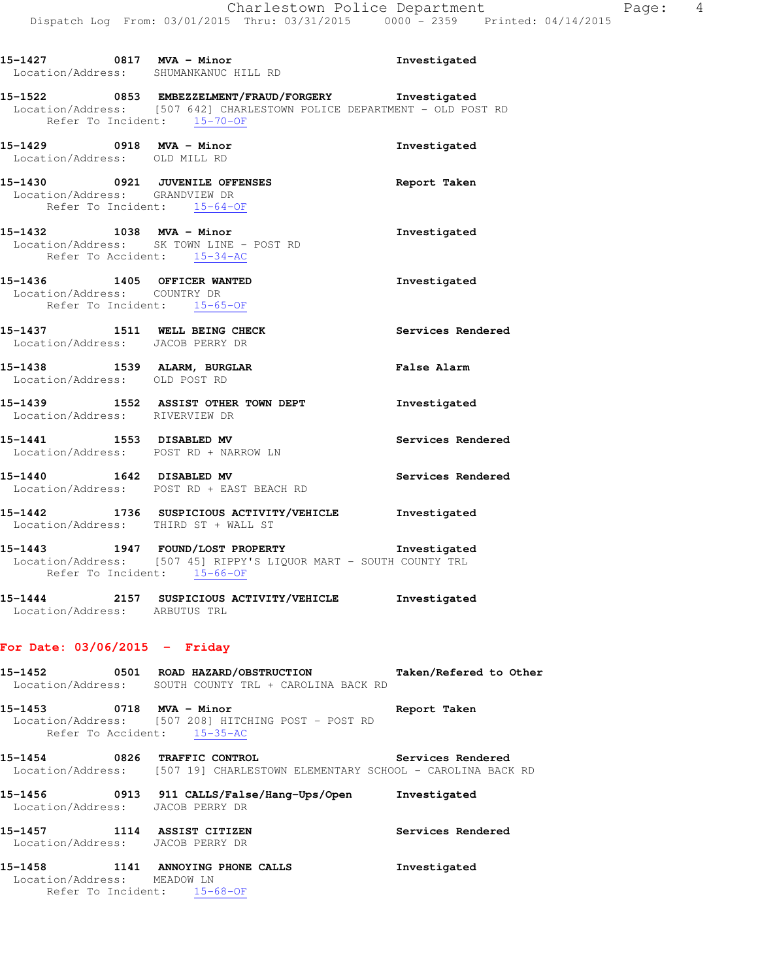**15-1522 0853 EMBEZZELMENT/FRAUD/FORGERY Investigated**  Location/Address: [507 642] CHARLESTOWN POLICE DEPARTMENT - OLD POST RD Refer To Incident: 15-70-OF

**15-1429 0918 MVA - Minor Investigated**  Location/Address: OLD MILL RD **15-1430 0921 JUVENILE OFFENSES Report Taken**  Location/Address: GRANDVIEW DR Refer To Incident: 15-64-OF **15-1432 1038 MVA - Minor Investigated**  Location/Address: SK TOWN LINE - POST RD Refer To Accident: 15-34-AC **15-1436 1405 OFFICER WANTED Investigated**  Location/Address: COUNTRY DR Refer To Incident: 15-65-OF **15-1437 1511 WELL BEING CHECK Services Rendered**  Location/Address: JACOB PERRY DR **15-1438 1539 ALARM, BURGLAR False Alarm**  Location/Address: OLD POST RD **15-1439 1552 ASSIST OTHER TOWN DEPT Investigated** 

 Location/Address: RIVERVIEW DR 15-1441 **1553** DISABLED MV **Services Rendered** Location/Address: POST RD + NARROW LN

**15-1440 1642 DISABLED MV Services Rendered**  Location/Address: POST RD + EAST BEACH RD

**15-1442 1736 SUSPICIOUS ACTIVITY/VEHICLE Investigated**  Location/Address: THIRD ST + WALL ST

**15-1443 1947 FOUND/LOST PROPERTY Investigated**  Location/Address: [507 45] RIPPY'S LIQUOR MART - SOUTH COUNTY TRL Refer To Incident: 15-66-OF

**15-1444 2157 SUSPICIOUS ACTIVITY/VEHICLE Investigated**  Location/Address: ARBUTUS TRL

### **For Date: 03/06/2015 - Friday**

**15-1452 0501 ROAD HAZARD/OBSTRUCTION Taken/Refered to Other**  Location/Address: SOUTH COUNTY TRL + CAROLINA BACK RD

**15-1453 0718 MVA - Minor Report Taken**  Location/Address: [507 208] HITCHING POST - POST RD Refer To Accident:  $15-35-AC$ 

**15-1454 0826 TRAFFIC CONTROL Services Rendered**  Location/Address: [507 19] CHARLESTOWN ELEMENTARY SCHOOL - CAROLINA BACK RD

**15-1456 0913 911 CALLS/False/Hang-Ups/Open Investigated**  Location/Address: JACOB PERRY DR **15-1457 1114 ASSIST CITIZEN Services Rendered** 

Location/Address: JACOB PERRY DR

**15-1458 1141 ANNOYING PHONE CALLS Investigated**  Location/Address: MEADOW LN Refer To Incident: 15-68-OF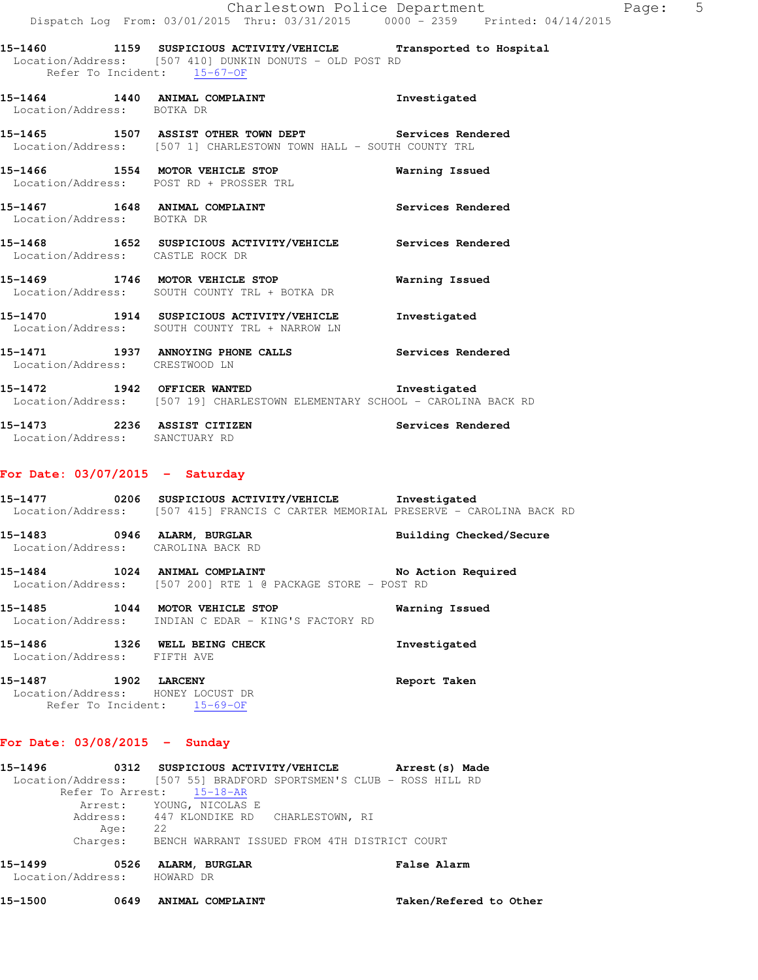**15-1460 1159 SUSPICIOUS ACTIVITY/VEHICLE Transported to Hospital**  Location/Address: [507 410] DUNKIN DONUTS - OLD POST RD Refer To Incident: 15-67-OF

- **15-1464 1440 ANIMAL COMPLAINT Investigated**  Location/Address: BOTKA DR
- **15-1465 1507 ASSIST OTHER TOWN DEPT Services Rendered**  Location/Address: [507 1] CHARLESTOWN TOWN HALL - SOUTH COUNTY TRL
- **15-1466 1554 MOTOR VEHICLE STOP Warning Issued**  Location/Address: POST RD + PROSSER TRL
- 15-1467 **1648 ANIMAL COMPLAINT 1648** Services Rendered Location/Address: BOTKA DR
- **15-1468 1652 SUSPICIOUS ACTIVITY/VEHICLE Services Rendered**  Location/Address: CASTLE ROCK DR
- **15-1469 1746 MOTOR VEHICLE STOP Warning Issued**  Location/Address: SOUTH COUNTY TRL + BOTKA DR
- **15-1470 1914 SUSPICIOUS ACTIVITY/VEHICLE Investigated**  Location/Address: SOUTH COUNTY TRL + NARROW LN
- **15-1471 1937 ANNOYING PHONE CALLS Services Rendered**  Location/Address: CRESTWOOD LN
- **15-1472 1942 OFFICER WANTED Investigated**  Location/Address: [507 19] CHARLESTOWN ELEMENTARY SCHOOL - CAROLINA BACK RD
- **15-1473 2236 ASSIST CITIZEN Services Rendered**  Location/Address: SANCTUARY RD

### **For Date: 03/07/2015 - Saturday**

- **15-1477 0206 SUSPICIOUS ACTIVITY/VEHICLE Investigated**  Location/Address: [507 415] FRANCIS C CARTER MEMORIAL PRESERVE - CAROLINA BACK RD
- **15-1483 0946 ALARM, BURGLAR Building Checked/Secure**  Location/Address: CAROLINA BACK RD
- **15-1484 1024 ANIMAL COMPLAINT No Action Required**  Location/Address: [507 200] RTE 1 @ PACKAGE STORE - POST RD
- **15-1485 1044 MOTOR VEHICLE STOP Warning Issued**  Location/Address: INDIAN C EDAR - KING'S FACTORY RD
- **15-1486 1326 WELL BEING CHECK Investigated**  Location/Address: FIFTH AVE **15-1487 1902 LARCENY Report Taken**
- Location/Address: HONEY LOCUST DR Refer To Incident: 15-69-OF

### **For Date: 03/08/2015 - Sunday**

**15-1496 0312 SUSPICIOUS ACTIVITY/VEHICLE Arrest(s) Made**  Location/Address: [507 55] BRADFORD SPORTSMEN'S CLUB - ROSS HILL RD Refer To Arrest: 15-18-AR Arrest: YOUNG, NICOLAS E Address: 447 KLONDIKE RD CHARLESTOWN, RI Age: 22 Charges: BENCH WARRANT ISSUED FROM 4TH DISTRICT COURT

| 15-1499           | 0526 | ALARM, BURGLAR | <b>False Alarm</b> |
|-------------------|------|----------------|--------------------|
| Location/Address: |      | HOWARD DR      |                    |
|                   |      |                |                    |

**15-1500 0649 ANIMAL COMPLAINT Taken/Refered to Other**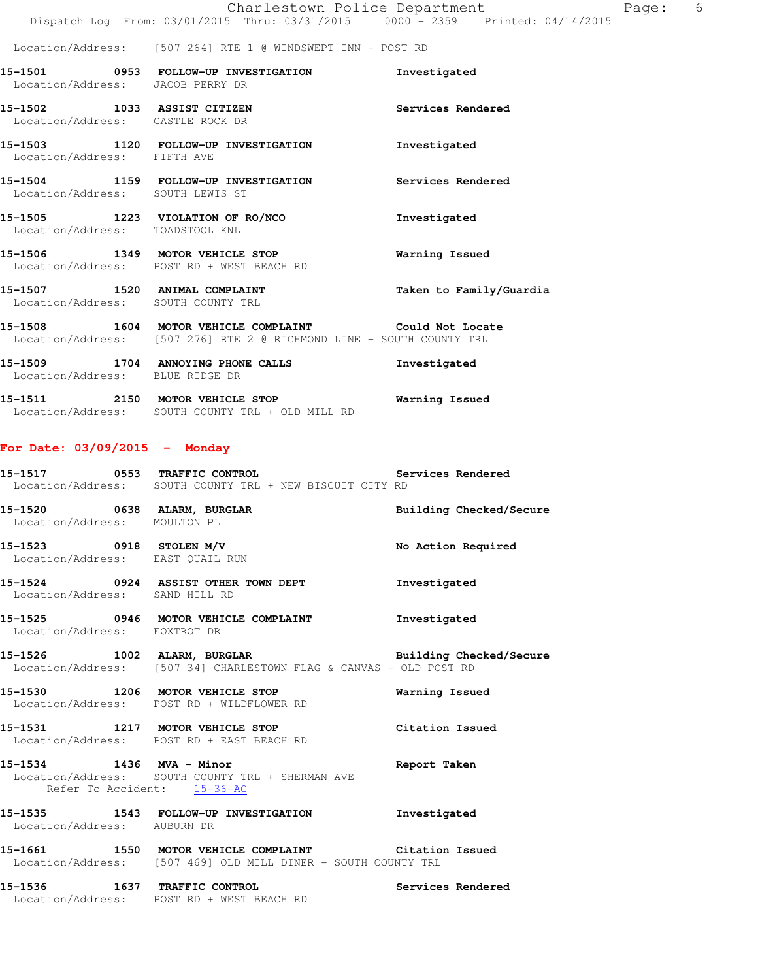#### Location/Address: [507 264] RTE 1 @ WINDSWEPT INN - POST RD

| Location/Address: JACOB PERRY DR                                | 15-1501 0953 FOLLOW-UP INVESTIGATION                                                                                          | Investigated            |
|-----------------------------------------------------------------|-------------------------------------------------------------------------------------------------------------------------------|-------------------------|
| 15-1502 1033 ASSIST CITIZEN<br>Location/Address: CASTLE ROCK DR |                                                                                                                               | Services Rendered       |
| Location/Address: FIFTH AVE                                     | 15-1503 1120 FOLLOW-UP INVESTIGATION                                                                                          | Investigated            |
| Location/Address: SOUTH LEWIS ST                                | 15-1504 1159 FOLLOW-UP INVESTIGATION                                                                                          | Services Rendered       |
| Location/Address: TOADSTOOL KNL                                 | 15-1505 1223 VIOLATION OF RO/NCO                                                                                              | Investigated            |
|                                                                 | 15-1506 1349 MOTOR VEHICLE STOP<br>Location/Address: POST RD + WEST BEACH RD                                                  | Warning Issued          |
|                                                                 | 15-1507 1520 ANIMAL COMPLAINT<br>Location/Address: SOUTH COUNTY TRL                                                           | Taken to Family/Guardia |
|                                                                 | 15-1508 1604 MOTOR VEHICLE COMPLAINT 6001d Not Locate<br>Location/Address: [507 276] RTE 2 @ RICHMOND LINE - SOUTH COUNTY TRL |                         |
| Location/Address: BLUE RIDGE DR                                 | 15-1509 1704 ANNOYING PHONE CALLS                                                                                             | Investigated            |

**15-1511 2150 MOTOR VEHICLE STOP Warning Issued**  Location/Address: SOUTH COUNTY TRL + OLD MILL RD

### **For Date: 03/09/2015 - Monday**

| 15-1517           |  | 0553 TRAFFIC CONTROL |  |                                        | Services Rendered |  |
|-------------------|--|----------------------|--|----------------------------------------|-------------------|--|
| Location/Address: |  |                      |  | SOUTH COUNTY TRI + NEW BISCUIT CITY RD |                   |  |

**15-1520 0638 ALARM, BURGLAR Building Checked/Secure**  Location/Address: MOULTON PL **15-1523 0918 STOLEN M/V No Action Required** 

 Location/Address: EAST QUAIL RUN **15-1524 0924 ASSIST OTHER TOWN DEPT Investigated**  Location/Address: SAND HILL RD

**15-1525 0946 MOTOR VEHICLE COMPLAINT Investigated**  Location/Address: FOXTROT DR

**15-1526 1002 ALARM, BURGLAR Building Checked/Secure**  Location/Address: [507 34] CHARLESTOWN FLAG & CANVAS - OLD POST RD

**15-1530 1206 MOTOR VEHICLE STOP Warning Issued**  Location/Address: POST RD + WILDFLOWER RD

**15-1531 1217 MOTOR VEHICLE STOP Citation Issued**  Location/Address: POST RD + EAST BEACH RD

**15-1534 1436 MVA - Minor Report Taken**  Location/Address: SOUTH COUNTY TRL + SHERMAN AVE Refer To Accident: 15-36-AC

**15-1535 1543 FOLLOW-UP INVESTIGATION Investigated**  Location/Address: AUBURN DR

**15-1661 1550 MOTOR VEHICLE COMPLAINT Citation Issued**  Location/Address: [507 469] OLD MILL DINER - SOUTH COUNTY TRL

**15-1536 1637 TRAFFIC CONTROL Services Rendered**  Location/Address: POST RD + WEST BEACH RD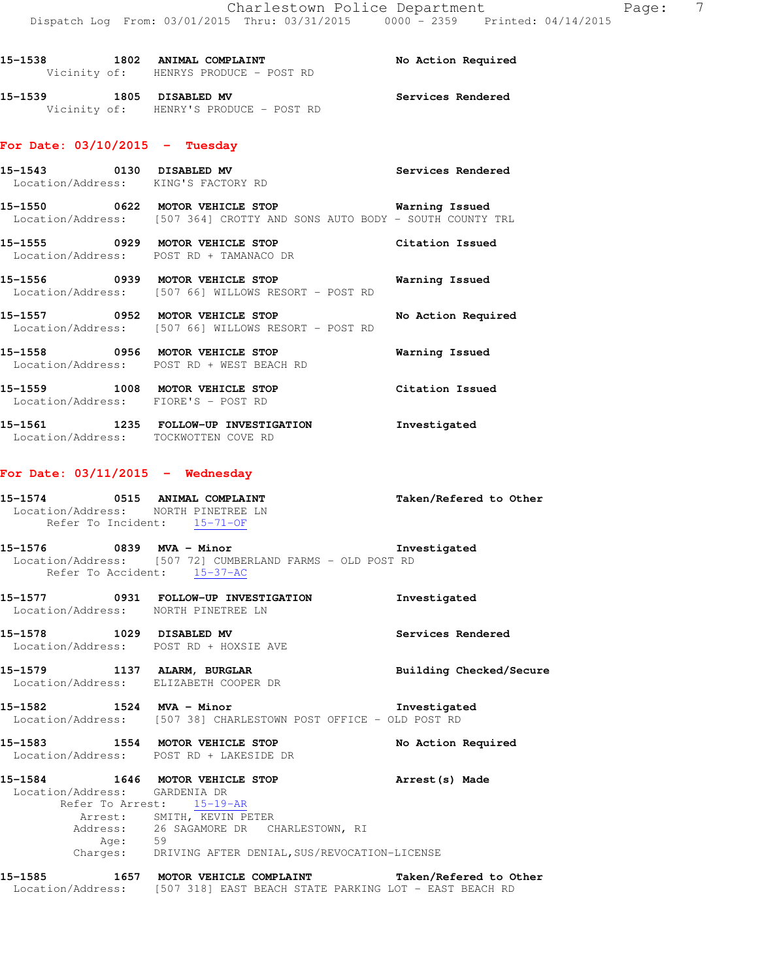15-1538 1802 ANIMAL COMPLAINT **15-1538** No Action Required Vicinity of: HENRYS PRODUCE - POST RD **15-1539 1805 DISABLED MV Services Rendered**  Vicinity of: HENRY'S PRODUCE - POST RD

# **For Date: 03/10/2015 - Tuesday**

| 0130<br>15-1543<br>Location/Address: | DISABLED MV<br>KING'S FACTORY RD                                                               | Services Rendered  |
|--------------------------------------|------------------------------------------------------------------------------------------------|--------------------|
| 0622<br>15–1550                      | MOTOR VEHICLE STOP<br>Location/Address: [507 364] CROTTY AND SONS AUTO BODY - SOUTH COUNTY TRL | Warning Issued     |
| 0929<br>15–1555<br>Location/Address: | MOTOR VEHICLE STOP<br>POST RD + TAMANACO DR                                                    | Citation Issued    |
| 0939<br>15–1556                      | MOTOR VEHICLE STOP<br>Location/Address: [507 66] WILLOWS RESORT - POST RD                      | Warning Issued     |
| 0952<br>15–1557                      | MOTOR VEHICLE STOP<br>Location/Address: [507 66] WILLOWS RESORT - POST RD                      | No Action Required |

 Location/Address: POST RD + WEST BEACH RD **15-1559 1008 MOTOR VEHICLE STOP Citation Issued**  Location/Address: FIORE'S - POST RD

**15-1558 0956 MOTOR VEHICLE STOP Warning Issued** 

**15-1561 1235 FOLLOW-UP INVESTIGATION Investigated**  Location/Address: TOCKWOTTEN COVE RD

### **For Date: 03/11/2015 - Wednesday**

| 15-1574                     | 0515 | ANIMAL COMPLAINT  | Taken/Refered to Other |  |
|-----------------------------|------|-------------------|------------------------|--|
| Location/Address:           |      | NORTH PINETREE LN |                        |  |
| Refer To Incident: 15-71-OF |      |                   |                        |  |

**15-1576 0839 MVA - Minor Investigated**  Location/Address: [507 72] CUMBERLAND FARMS - OLD POST RD Refer To Accident: 15-37-AC

- **15-1577 0931 FOLLOW-UP INVESTIGATION Investigated**  Location/Address: NORTH PINETREE LN
- **15-1578 1029 DISABLED MV Services Rendered**  Location/Address: POST RD + HOXSIE AVE
- **15-1579 1137 ALARM, BURGLAR Building Checked/Secure**  Location/Address: ELIZABETH COOPER DR

**15-1582 1524 MVA - Minor Investigated**  Location/Address: [507 38] CHARLESTOWN POST OFFICE - OLD POST RD

**15-1583 1554 MOTOR VEHICLE STOP No Action Required**  Location/Address: POST RD + LAKESIDE DR

### **15-1584 1646 MOTOR VEHICLE STOP Arrest(s) Made**  Location/Address: GARDENIA DR Refer To Arrest: 15-19-AR Arrest: SMITH, KEVIN PETER

 Address: 26 SAGAMORE DR CHARLESTOWN, RI Age: 59 Charges: DRIVING AFTER DENIAL,SUS/REVOCATION-LICENSE

**15-1585 1657 MOTOR VEHICLE COMPLAINT Taken/Refered to Other**  Location/Address: [507 318] EAST BEACH STATE PARKING LOT - EAST BEACH RD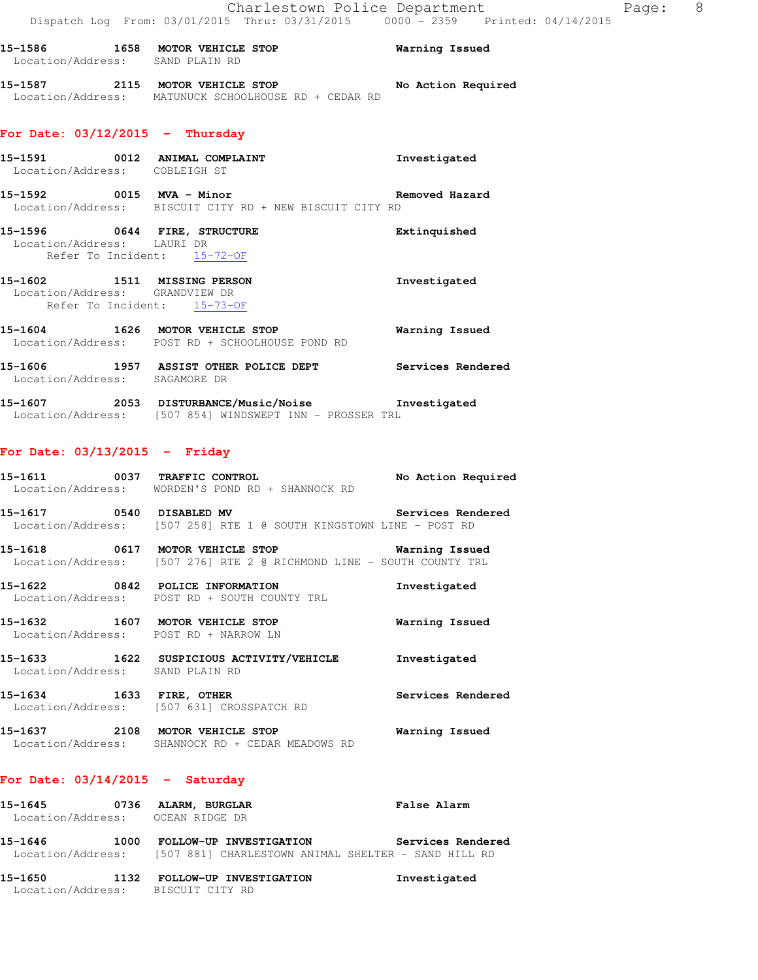### **15-1587 2115 MOTOR VEHICLE STOP No Action Required**  Location/Address: MATUNUCK SCHOOLHOUSE RD + CEDAR RD

### **For Date: 03/12/2015 - Thursday**

- **15-1591 0012 ANIMAL COMPLAINT Investigated**  Location/Address: COBLEIGH ST
- **15-1592 0015 MVA Minor Removed Hazard**  Location/Address: BISCUIT CITY RD + NEW BISCUIT CITY RD
- **15-1596 0644 FIRE, STRUCTURE Extinquished**  Location/Address: LAURI DR Refer To Incident: 15-72-OF
- **15-1602 1511 MISSING PERSON Investigated**  Location/Address: GRANDVIEW DR Refer To Incident: 15-73-OF
- **15-1604 1626 MOTOR VEHICLE STOP Warning Issued**  Location/Address: POST RD + SCHOOLHOUSE POND RD
- **15-1606 1957 ASSIST OTHER POLICE DEPT Services Rendered**  Location/Address: SAGAMORE DR
- **15-1607 2053 DISTURBANCE/Music/Noise Investigated**  Location/Address: [507 854] WINDSWEPT INN - PROSSER TRL

# **For Date: 03/13/2015 - Friday**

| 15-1611 0037 TRAFFIC CONTROL                                             | Location/Address: WORDEN'S POND RD + SHANNOCK RD                                      | No Action Required |
|--------------------------------------------------------------------------|---------------------------------------------------------------------------------------|--------------------|
|                                                                          | Location/Address: [507 258] RTE 1 @ SOUTH KINGSTOWN LINE - POST RD                    |                    |
|                                                                          | Location/Address: [507 276] RTE 2 @ RICHMOND LINE - SOUTH COUNTY TRL                  |                    |
|                                                                          | 15-1622 0842 POLICE INFORMATION<br>Location/Address: POST RD + SOUTH COUNTY TRL       | Investigated       |
| 15-1632 1607 MOTOR VEHICLE STOP<br>Location/Address: POST RD + NARROW LN |                                                                                       | Warning Issued     |
| Location/Address: SAND PLAIN RD                                          | 15-1633 1622 SUSPICIOUS ACTIVITY/VEHICLE Investigated                                 |                    |
| 15-1634 1633 FIRE, OTHER                                                 | Location/Address: [507 631] CROSSPATCH RD                                             | Services Rendered  |
|                                                                          | 15-1637  2108  MOTOR VEHICLE STOP<br>Location/Address: SHANNOCK RD + CEDAR MEADOWS RD | Warning Issued     |

### **For Date: 03/14/2015 - Saturday**

| 15-1645<br>Location/Address: OCEAN RIDGE DR |      | 0736 ALARM, BURGLAR                                                            | <b>False Alarm</b> |
|---------------------------------------------|------|--------------------------------------------------------------------------------|--------------------|
| 15–1646<br>Location/Address:                | 1000 | FOLLOW-UP INVESTIGATION<br>[507 881] CHARLESTOWN ANIMAL SHELTER - SAND HILL RD | Services Rendered  |

**15-1650 1132 FOLLOW-UP INVESTIGATION Investigated**  Location/Address: BISCUIT CITY RD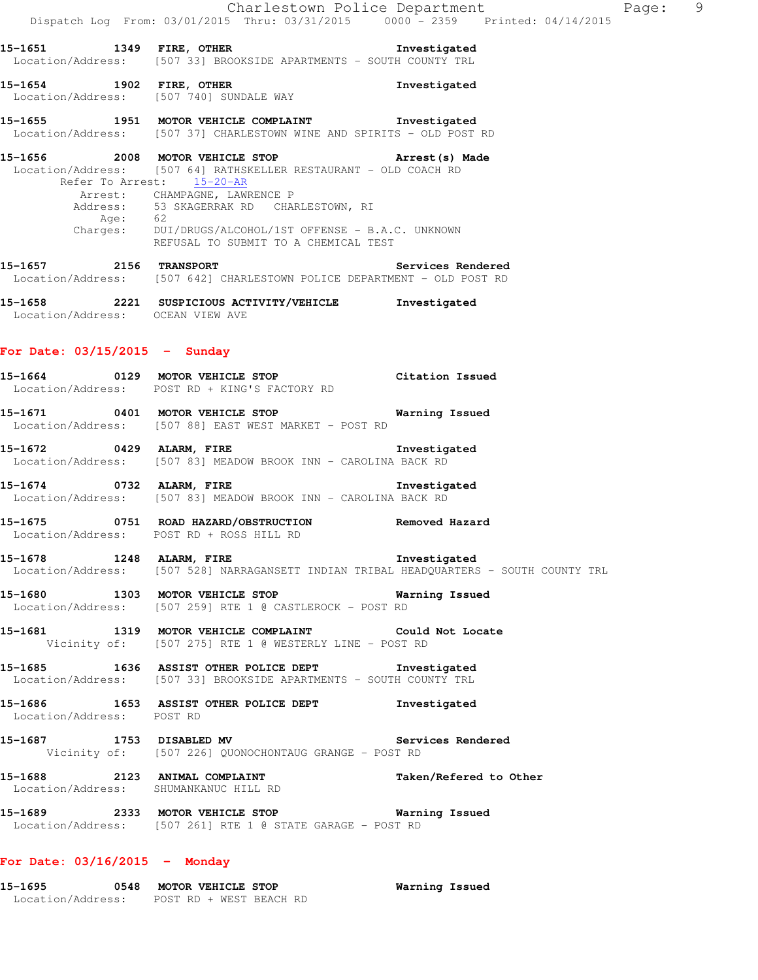### **15-1654 1902 FIRE, OTHER Investigated**  Location/Address: [507 740] SUNDALE WAY

# **15-1655 1951 MOTOR VEHICLE COMPLAINT Investigated**  Location/Address: [507 37] CHARLESTOWN WINE AND SPIRITS - OLD POST RD

# **15-1656 2008 MOTOR VEHICLE STOP Arrest(s) Made**  Location/Address: [507 64] RATHSKELLER RESTAURANT - OLD COACH RD Refer To Arrest: 15-20-AR Arrest: CHAMPAGNE, LAWRENCE P Address: 53 SKAGERRAK RD CHARLESTOWN, RI Age: 62 Charges: DUI/DRUGS/ALCOHOL/1ST OFFENSE - B.A.C. UNKNOWN

**15-1657 2156 TRANSPORT Services Rendered**  Location/Address: [507 642] CHARLESTOWN POLICE DEPARTMENT - OLD POST RD

REFUSAL TO SUBMIT TO A CHEMICAL TEST

**15-1658 2221 SUSPICIOUS ACTIVITY/VEHICLE Investigated**  Location/Address: OCEAN VIEW AVE

### **For Date: 03/15/2015 - Sunday**

- **15-1664 0129 MOTOR VEHICLE STOP Citation Issued**  Location/Address: POST RD + KING'S FACTORY RD
- **15-1671 0401 MOTOR VEHICLE STOP Warning Issued**  Location/Address: [507 88] EAST WEST MARKET - POST RD
- **15-1672 0429 ALARM, FIRE Investigated**  Location/Address: [507 83] MEADOW BROOK INN - CAROLINA BACK RD
- **15-1674 0732 ALARM, FIRE Investigated**  Location/Address: [507 83] MEADOW BROOK INN - CAROLINA BACK RD
- **15-1675 0751 ROAD HAZARD/OBSTRUCTION Removed Hazard**  Location/Address: POST RD + ROSS HILL RD
- **15-1678 1248 ALARM, FIRE Investigated**  Location/Address: [507 528] NARRAGANSETT INDIAN TRIBAL HEADQUARTERS - SOUTH COUNTY TRL
- **15-1680 1303 MOTOR VEHICLE STOP Warning Issued**  Location/Address: [507 259] RTE 1 @ CASTLEROCK - POST RD
- **15-1681 1319 MOTOR VEHICLE COMPLAINT Could Not Locate**  Vicinity of: [507 275] RTE 1 @ WESTERLY LINE - POST RD
- **15-1685 1636 ASSIST OTHER POLICE DEPT Investigated**  Location/Address: [507 33] BROOKSIDE APARTMENTS - SOUTH COUNTY TRL
- **15-1686 1653 ASSIST OTHER POLICE DEPT Investigated**  Location/Address: POST RD
- **15-1687 1753 DISABLED MV Services Rendered**  Vicinity of: [507 226] QUONOCHONTAUG GRANGE - POST RD
- 15-1688 2123 ANIMAL COMPLAINT **Taken/Refered to Other** Location/Address: SHUMANKANUC HILL RD
- **15-1689 2333 MOTOR VEHICLE STOP Warning Issued**  Location/Address: [507 261] RTE 1 @ STATE GARAGE - POST RD

# **For Date: 03/16/2015 - Monday**

| 15-1695           | 0548 | MOTOR VEHICLE STOP |  |                         | Warning Issued |
|-------------------|------|--------------------|--|-------------------------|----------------|
| Location/Address: |      |                    |  | POST RD + WEST BEACH RD |                |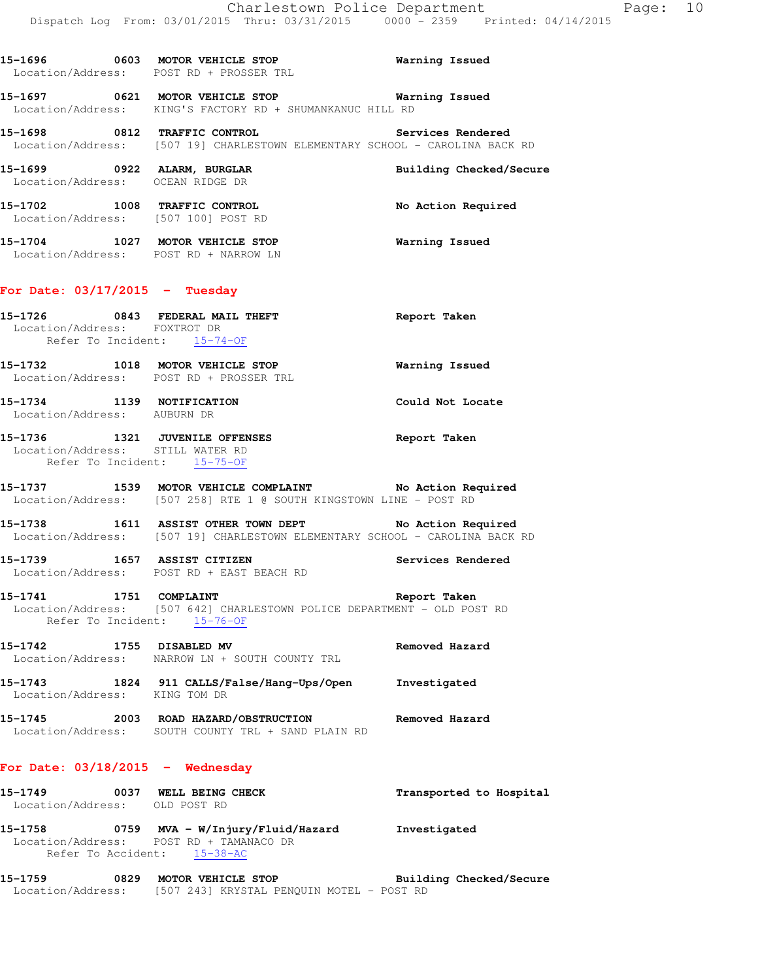|                                                                          | Location/Address: POST RD + PROSSER TRL                                                                                                  |                         |
|--------------------------------------------------------------------------|------------------------------------------------------------------------------------------------------------------------------------------|-------------------------|
|                                                                          | 15-1697 0621 MOTOR VEHICLE STOP Warning Issued<br>Location/Address: KING'S FACTORY RD + SHUMANKANUC HILL RD                              |                         |
|                                                                          | 15-1698 0812 TRAFFIC CONTROL Services Rendered<br>Location/Address: [507 19] CHARLESTOWN ELEMENTARY SCHOOL - CAROLINA BACK RD            |                         |
|                                                                          |                                                                                                                                          | Building Checked/Secure |
| 15-1702 1008 TRAFFIC CONTROL<br>Location/Address: [507 100] POST RD      |                                                                                                                                          | No Action Required      |
| 15-1704 1027 MOTOR VEHICLE STOP<br>Location/Address: POST RD + NARROW LN |                                                                                                                                          | Warning Issued          |
| For Date: $03/17/2015$ - Tuesday                                         |                                                                                                                                          |                         |
| Location/Address: FOXTROT DR<br>Refer To Incident: 15-74-OF              | 15-1726 0843 FEDERAL MAIL THEFT                                                                                                          | Report Taken            |
|                                                                          | 15-1732 1018 MOTOR VEHICLE STOP<br>Location/Address: POST RD + PROSSER TRL                                                               | <b>Warning Issued</b>   |
| 15-1734 1139 NOTIFICATION<br>Location/Address: AUBURN DR                 |                                                                                                                                          | Could Not Locate        |
| Location/Address: STILL WATER RD<br>Refer To Incident: 15-75-OF          | 15-1736 1321 JUVENILE OFFENSES                                                                                                           | Report Taken            |
|                                                                          | 15-1737 1539 MOTOR VEHICLE COMPLAINT No Action Required<br>Location/Address: [507 258] RTE 1 @ SOUTH KINGSTOWN LINE - POST RD            |                         |
|                                                                          | 15-1738 1611 ASSIST OTHER TOWN DEPT No Action Required<br>Location/Address: [507 19] CHARLESTOWN ELEMENTARY SCHOOL - CAROLINA BACK RD    |                         |
|                                                                          | 15-1739 1657 ASSIST CITIZEN<br>Location/Address: POST RD + EAST BEACH RD                                                                 | Services Rendered       |
| 15-1741 1751 COMPLAINT<br>Refer To Incident: 15-76-OF                    | Location/Address: [507 642] CHARLESTOWN POLICE DEPARTMENT - OLD POST RD                                                                  | Report Taken            |
| 15-1742 1755 DISABLED MV                                                 | Location/Address: NARROW LN + SOUTH COUNTY TRL                                                                                           | Removed Hazard          |
|                                                                          | 15-1743   1824   911 CALLS/False/Hang-Ups/Open   Investigated Location/Address:   KING TOM DR                                            |                         |
|                                                                          | 15-1745 2003 ROAD HAZARD/OBSTRUCTION Removed Hazard<br>Location/Address: SOUTH COUNTY TRL + SAND PLAIN RD                                |                         |
| For Date: $03/18/2015$ - Wednesday                                       |                                                                                                                                          |                         |
| 15-1749 0037 WELL BEING CHECK<br>Location/Address: OLD POST RD           |                                                                                                                                          | Transported to Hospital |
| Location/Address: POST RD + TAMANACO DR<br>Refer To Accident: 15-38-AC   |                                                                                                                                          |                         |
|                                                                          | 15-1759       0829   MOTOR VEHICLE STOP           Building Checked/Secure<br>Location/Address: [507 243] KRYSTAL PENQUIN MOTEL - POST RD |                         |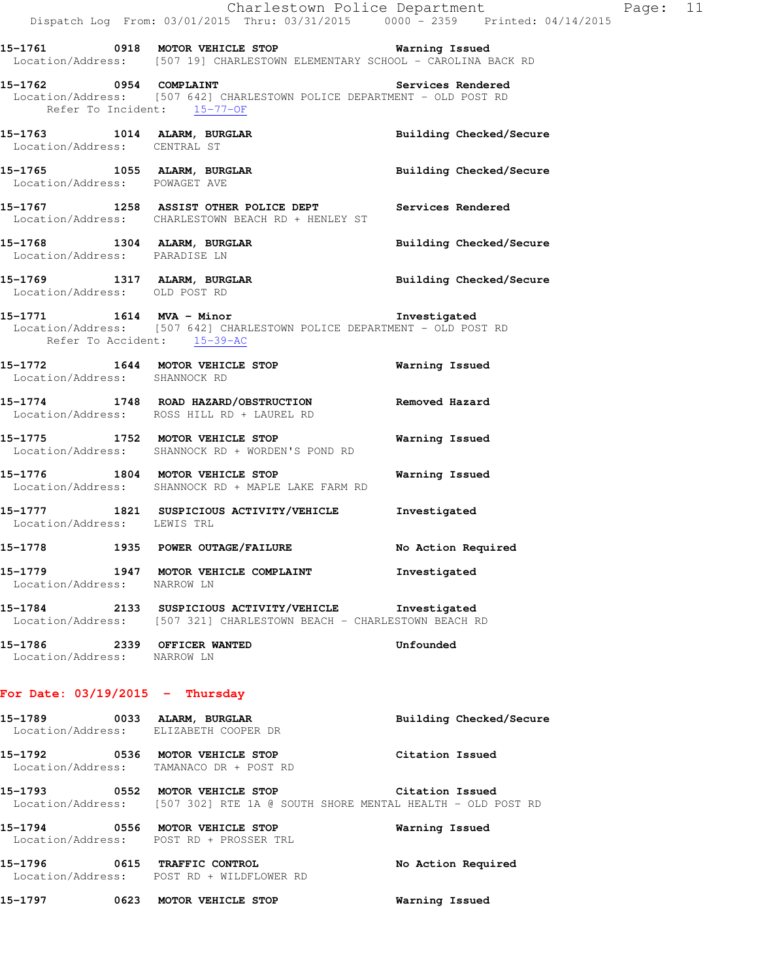# **15-1762 0954 COMPLAINT Services Rendered**  Location/Address: [507 642] CHARLESTOWN POLICE DEPARTMENT - OLD POST RD Refer To Incident: 15-77-OF

**15-1763 1014 ALARM, BURGLAR Building Checked/Secure**  Location/Address: CENTRAL ST

15-1765 1055 ALARM, BURGLAR **Building Checked/Secure** Location/Address: POWAGET AVE

**15-1767 1258 ASSIST OTHER POLICE DEPT Services Rendered**  Location/Address: CHARLESTOWN BEACH RD + HENLEY ST

15-1768 1304 ALARM, BURGLAR **Building Checked/Secure** Location/Address: PARADISE LN

**15-1769 1317 ALARM, BURGLAR Building Checked/Secure**  Location/Address: OLD POST RD

### **15-1771 1614 MVA - Minor Investigated**  Location/Address: [507 642] CHARLESTOWN POLICE DEPARTMENT - OLD POST RD Refer To Accident: 15-39-AC

**15-1772 1644 MOTOR VEHICLE STOP Warning Issued**  Location/Address: SHANNOCK RD

**15-1774 1748 ROAD HAZARD/OBSTRUCTION Removed Hazard**  Location/Address: ROSS HILL RD + LAUREL RD

**15-1775 1752 MOTOR VEHICLE STOP Warning Issued**  Location/Address: SHANNOCK RD + WORDEN'S POND RD

**15-1776 1804 MOTOR VEHICLE STOP Warning Issued**  Location/Address: SHANNOCK RD + MAPLE LAKE FARM RD

**15-1777 1821 SUSPICIOUS ACTIVITY/VEHICLE Investigated**  Location/Address: LEWIS TRL

**15-1778 1935 POWER OUTAGE/FAILURE No Action Required 15-1779 1947 MOTOR VEHICLE COMPLAINT Investigated** 

**15-1784 2133 SUSPICIOUS ACTIVITY/VEHICLE Investigated**  Location/Address: [507 321] CHARLESTOWN BEACH - CHARLESTOWN BEACH RD

**15-1786 2339 OFFICER WANTED Unfounded**  Location/Address: NARROW LN

# **For Date: 03/19/2015 - Thursday**

Location/Address: NARROW LN

**15-1789 0033 ALARM, BURGLAR Building Checked/Secure**  Location/Address: ELIZABETH COOPER DR **15-1792 0536 MOTOR VEHICLE STOP Citation Issued**  Location/Address: TAMANACO DR + POST RD

**15-1793 0552 MOTOR VEHICLE STOP Citation Issued**  Location/Address: [507 302] RTE 1A @ SOUTH SHORE MENTAL HEALTH - OLD POST RD

**15-1794 0556 MOTOR VEHICLE STOP Warning Issued**  Location/Address: POST RD + PROSSER TRL **15-1796 0615 TRAFFIC CONTROL No Action Required**  Location/Address: POST RD + WILDFLOWER RD

**15-1797 0623 MOTOR VEHICLE STOP Warning Issued**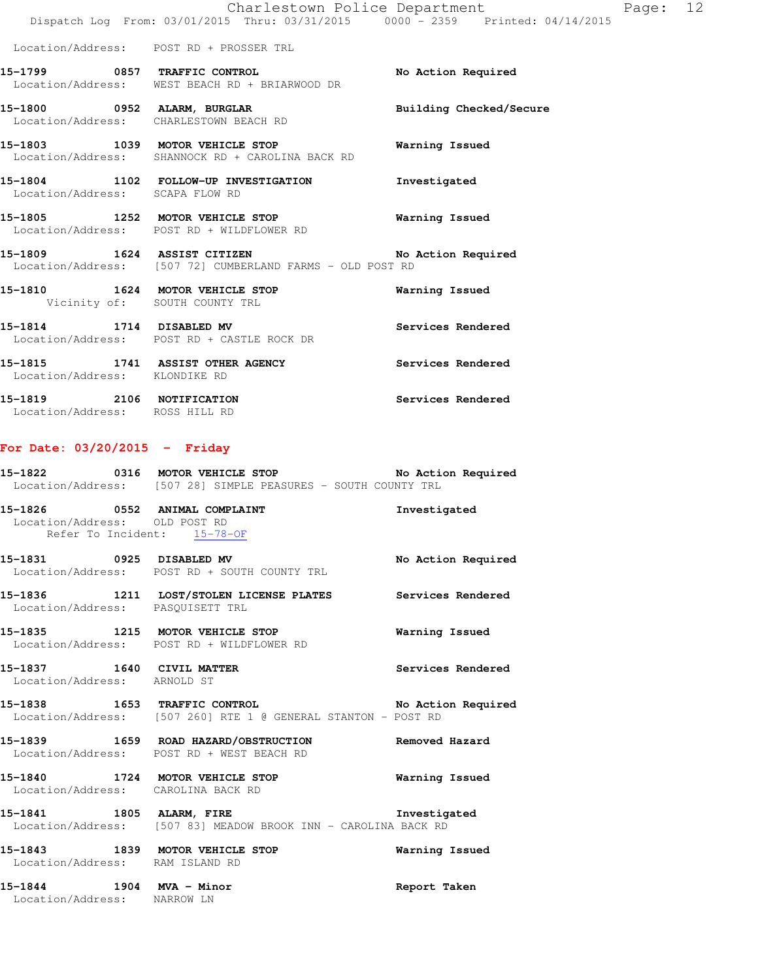|                                 | Charlestown Police Department                                                            |                          | Page: 12 |  |
|---------------------------------|------------------------------------------------------------------------------------------|--------------------------|----------|--|
|                                 | Dispatch Log From: 03/01/2015 Thru: 03/31/2015 0000 - 2359 Printed: 04/14/2015           |                          |          |  |
|                                 | Location/Address: POST RD + PROSSER TRL                                                  |                          |          |  |
| 15-1799 0857 TRAFFIC CONTROL    | Location/Address: WEST BEACH RD + BRIARWOOD DR                                           | No Action Required       |          |  |
|                                 | 15-1800 0952 ALARM, BURGLAR<br>Location/Address: CHARLESTOWN BEACH RD                    | Building Checked/Secure  |          |  |
|                                 | 15-1803 1039 MOTOR VEHICLE STOP<br>Location/Address: SHANNOCK RD + CAROLINA BACK RD      | Warning Issued           |          |  |
| Location/Address: SCAPA FLOW RD | 15-1804 1102 FOLLOW-UP INVESTIGATION Investigated                                        |                          |          |  |
|                                 | 15-1805 1252 MOTOR VEHICLE STOP<br>Location/Address: POST RD + WILDFLOWER RD             | Warning Issued           |          |  |
|                                 | 15-1809 1624 ASSIST CITIZEN<br>Location/Address: [507 72] CUMBERLAND FARMS - OLD POST RD | No Action Required       |          |  |
|                                 | 15-1810 1624 MOTOR VEHICLE STOP<br>Vicinity of: SOUTH COUNTY TRL                         | Warning Issued           |          |  |
| 15-1814 1714 DISABLED MV        | Location/Address: POST RD + CASTLE ROCK DR                                               | Services Rendered        |          |  |
| Location/Address: KLONDIKE RD   | 15-1815 1741 ASSIST OTHER AGENCY                                                         | <b>Services Rendered</b> |          |  |
| 15-1819 2106 NOTIFICATION       |                                                                                          | Services Rendered        |          |  |

**For Date: 03/20/2015 - Friday**

Location/Address: ROSS HILL RD

| Location/Address: OLD POST RD                            | Refer To Incident: 15-78-OF                                                                                              | Investigated             |
|----------------------------------------------------------|--------------------------------------------------------------------------------------------------------------------------|--------------------------|
|                                                          | 15-1831 0925 DISABLED MV<br>Location/Address: POST RD + SOUTH COUNTY TRL                                                 | No Action Required       |
| Location/Address: PASQUISETT TRL                         | 15-1836 1211 LOST/STOLEN LICENSE PLATES Services Rendered                                                                |                          |
|                                                          | Location/Address: POST RD + WILDFLOWER RD                                                                                |                          |
| 15-1837 1640 CIVIL MATTER<br>Location/Address: ARNOLD ST |                                                                                                                          | <b>Services Rendered</b> |
|                                                          | 15-1838 1653 TRAFFIC CONTROL 15-1838 No Action Required<br>Location/Address: [507 260] RTE 1 @ GENERAL STANTON - POST RD |                          |
|                                                          | 15-1839 1659 ROAD HAZARD/OBSTRUCTION Removed Hazard<br>Location/Address: POST RD + WEST BEACH RD                         |                          |
|                                                          | 15-1840 1724 MOTOR VEHICLE STOP<br>Location/Address: CAROLINA BACK RD                                                    | Warning Issued           |
|                                                          | 15-1841 1805 ALARM, FIRE 1997 112 Investigated<br>Location/Address: [507 83] MEADOW BROOK INN - CAROLINA BACK RD         |                          |
| Location/Address: RAM ISLAND RD                          | 15-1843 1839 MOTOR VEHICLE STOP                                                                                          | Warning Issued           |

**15-1822 0316 MOTOR VEHICLE STOP No Action Required** 

Location/Address: [507 28] SIMPLE PEASURES - SOUTH COUNTY TRL

**15-1844 1904 MVA - Minor Report Taken**  Location/Address: NARROW LN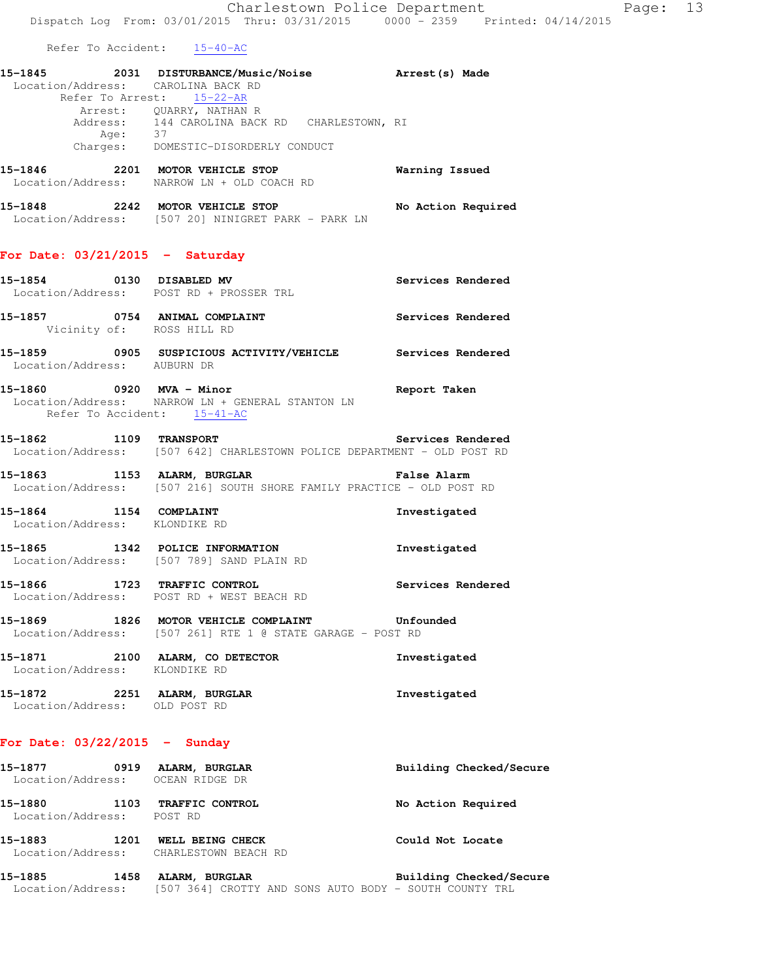Refer To Accident: 15-40-AC

| 15-1845                            |          | 2031 DISTURBANCE/Music/Noise |                 | Arrest (s) Made |  |
|------------------------------------|----------|------------------------------|-----------------|-----------------|--|
| Location/Address: CAROLINA BACK RD |          |                              |                 |                 |  |
|                                    |          | Refer To Arrest: 15-22-AR    |                 |                 |  |
|                                    |          | Arrest: OUARRY, NATHAN R     |                 |                 |  |
|                                    | Address: | 144 CAROLINA BACK RD         | CHARLESTOWN, RI |                 |  |
|                                    | Age:     | 37                           |                 |                 |  |
|                                    | Charges: | DOMESTIC-DISORDERLY CONDUCT  |                 |                 |  |
|                                    |          |                              |                 |                 |  |

**15-1846 2201 MOTOR VEHICLE STOP Warning Issued**  Location/Address: NARROW LN + OLD COACH RD

**15-1848 2242 MOTOR VEHICLE STOP No Action Required**  Location/Address: [507 20] NINIGRET PARK - PARK LN

### **For Date: 03/21/2015 - Saturday**

| .       |              |                                                               |                   |  |  |
|---------|--------------|---------------------------------------------------------------|-------------------|--|--|
| 15–1857 |              | 0754 ANIMAL COMPLAINT<br>Vicinity of: ROSS HILL RD            | Services Rendered |  |  |
|         | 15-1854 0130 | <b>DISABLED MV</b><br>Location/Address: POST RD + PROSSER TRL | Services Rendered |  |  |

- **15-1859 0905 SUSPICIOUS ACTIVITY/VEHICLE Services Rendered**  Location/Address: AUBURN DR
- **15-1860 0920 MVA Minor Report Taken**  Location/Address: NARROW LN + GENERAL STANTON LN Refer To Accident: 15-41-AC
- **15-1862 1109 TRANSPORT Services Rendered**  Location/Address: [507 642] CHARLESTOWN POLICE DEPARTMENT - OLD POST RD
- **15-1863 1153 ALARM, BURGLAR False Alarm**  Location/Address: [507 216] SOUTH SHORE FAMILY PRACTICE - OLD POST RD
- **15-1864 1154 COMPLAINT Investigated**  Location/Address: KLONDIKE RD
- **15-1865 1342 POLICE INFORMATION Investigated**  Location/Address: [507 789] SAND PLAIN RD
- **15-1866 1723 TRAFFIC CONTROL Services Rendered**  Location/Address: POST RD + WEST BEACH RD
- **15-1869 1826 MOTOR VEHICLE COMPLAINT Unfounded**  Location/Address: [507 261] RTE 1 @ STATE GARAGE - POST RD
- **15-1871 2100 ALARM, CO DETECTOR Investigated**  Location/Address: KLONDIKE RD
- **15-1872 2251 ALARM, BURGLAR Investigated**  Location/Address: OLD POST RD

### **For Date: 03/22/2015 - Sunday**

| 15-1877<br>Location/Address: | 0919 | ALARM, BURGLAR<br>OCEAN RIDGE DR         | Building Checked/Secure |
|------------------------------|------|------------------------------------------|-------------------------|
| 15-1880<br>Location/Address: | 1103 | TRAFFIC CONTROL<br>POST RD               | No Action Required      |
| 15-1883<br>Location/Address: | 1201 | WELL BEING CHECK<br>CHARLESTOWN BEACH RD | Could Not Locate        |
| 15-1885                      | 1458 | ALARM,<br><b>BURGLAR</b>                 | Building Checked/Secure |

Location/Address: [507 364] CROTTY AND SONS AUTO BODY - SOUTH COUNTY TRL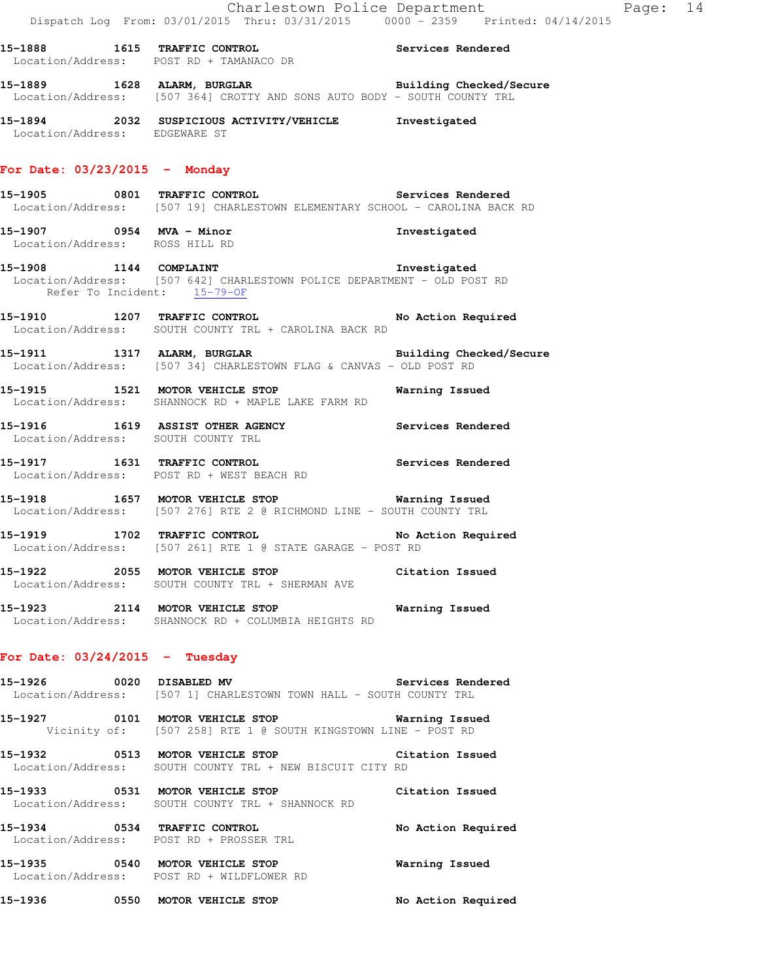**15-1888 1615 TRAFFIC CONTROL Services Rendered**  Location/Address: POST RD + TAMANACO DR **15-1889 1628 ALARM, BURGLAR Building Checked/Secure**  Location/Address: [507 364] CROTTY AND SONS AUTO BODY - SOUTH COUNTY TRL

**15-1894 2032 SUSPICIOUS ACTIVITY/VEHICLE Investigated**  Location/Address: EDGEWARE ST

### **For Date: 03/23/2015 - Monday**

- **15-1905 0801 TRAFFIC CONTROL Services Rendered**  Location/Address: [507 19] CHARLESTOWN ELEMENTARY SCHOOL - CAROLINA BACK RD
- **15-1907 0954 MVA Minor Investigated**  Location/Address: ROSS HILL RD
- **15-1908 1144 COMPLAINT Investigated**  Location/Address: [507 642] CHARLESTOWN POLICE DEPARTMENT - OLD POST RD Refer To Incident: 15-79-OF
- **15-1910 1207 TRAFFIC CONTROL No Action Required**  Location/Address: SOUTH COUNTY TRL + CAROLINA BACK RD
- **15-1911 1317 ALARM, BURGLAR Building Checked/Secure**  Location/Address: [507 34] CHARLESTOWN FLAG & CANVAS - OLD POST RD
- **15-1915 1521 MOTOR VEHICLE STOP Warning Issued**  Location/Address: SHANNOCK RD + MAPLE LAKE FARM RD
- **15-1916 1619 ASSIST OTHER AGENCY Services Rendered**  Location/Address: SOUTH COUNTY TRL
- **15-1917 1631 TRAFFIC CONTROL Services Rendered**  Location/Address: POST RD + WEST BEACH RD
- **15-1918 1657 MOTOR VEHICLE STOP Warning Issued**  Location/Address: [507 276] RTE 2 @ RICHMOND LINE - SOUTH COUNTY TRL
- **15-1919 1702 TRAFFIC CONTROL No Action Required**  Location/Address: [507 261] RTE 1 @ STATE GARAGE - POST RD
- **15-1922 2055 MOTOR VEHICLE STOP Citation Issued**  Location/Address: SOUTH COUNTY TRL + SHERMAN AVE
- **15-1923 2114 MOTOR VEHICLE STOP Warning Issued**  Location/Address: SHANNOCK RD + COLUMBIA HEIGHTS RD

### **For Date: 03/24/2015 - Tuesday**

- **15-1926 0020 DISABLED MV Services Rendered**  Location/Address: [507 1] CHARLESTOWN TOWN HALL - SOUTH COUNTY TRL
- **15-1927 0101 MOTOR VEHICLE STOP Warning Issued**  Vicinity of: [507 258] RTE 1 @ SOUTH KINGSTOWN LINE - POST RD
- **15-1932 0513 MOTOR VEHICLE STOP Citation Issued**  Location/Address: SOUTH COUNTY TRL + NEW BISCUIT CITY RD
- **15-1933 0531 MOTOR VEHICLE STOP Citation Issued**  Location/Address: SOUTH COUNTY TRL + SHANNOCK RD
- **15-1934 0534 TRAFFIC CONTROL No Action Required**  Location/Address: POST RD + PROSSER TRL
- **15-1935 0540 MOTOR VEHICLE STOP Warning Issued**  Location/Address: POST RD + WILDFLOWER RD
- **15-1936 0550 MOTOR VEHICLE STOP No Action Required**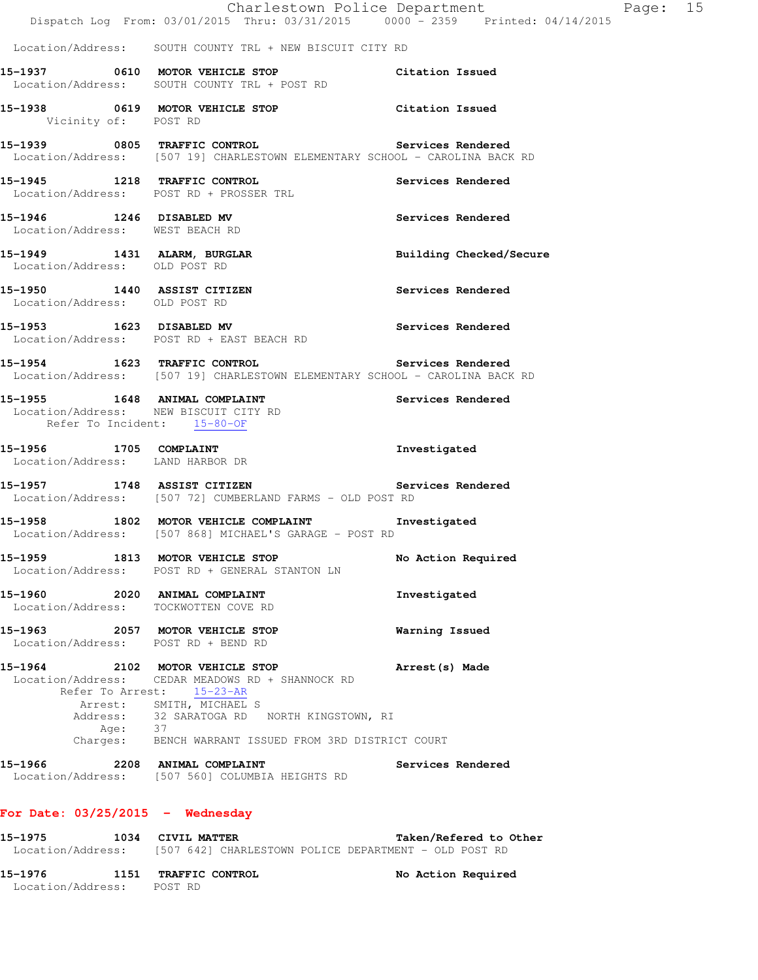|                               |                                                                                                                                                                                                                                                                 | Charlestown Police Department<br>Dispatch Log From: 03/01/2015 Thru: 03/31/2015 0000 - 2359 Printed: 04/14/2015 | Page: 15 |  |
|-------------------------------|-----------------------------------------------------------------------------------------------------------------------------------------------------------------------------------------------------------------------------------------------------------------|-----------------------------------------------------------------------------------------------------------------|----------|--|
|                               | Location/Address: SOUTH COUNTY TRL + NEW BISCUIT CITY RD                                                                                                                                                                                                        |                                                                                                                 |          |  |
|                               | 15-1937 0610 MOTOR VEHICLE STOP Citation Issued<br>Location/Address: SOUTH COUNTY TRL + POST RD                                                                                                                                                                 |                                                                                                                 |          |  |
| Vicinity of: POST RD          | 15-1938 0619 MOTOR VEHICLE STOP Citation Issued                                                                                                                                                                                                                 |                                                                                                                 |          |  |
|                               | 15-1939 0805 TRAFFIC CONTROL Services Rendered<br>Location/Address: [507 19] CHARLESTOWN ELEMENTARY SCHOOL - CAROLINA BACK RD                                                                                                                                   |                                                                                                                 |          |  |
|                               | 15-1945 1218 TRAFFIC CONTROL<br>Location/Address: POST RD + PROSSER TRL                                                                                                                                                                                         | Services Rendered                                                                                               |          |  |
|                               | 15-1946 1246 DISABLED MV<br>Location/Address: WEST BEACH RD                                                                                                                                                                                                     | Services Rendered                                                                                               |          |  |
| Location/Address: OLD POST RD | 15-1949 1431 ALARM, BURGLAR                                                                                                                                                                                                                                     | Building Checked/Secure                                                                                         |          |  |
|                               | 15-1950 1440 ASSIST CITIZEN<br>Location/Address: OLD POST RD                                                                                                                                                                                                    | <b>Services Rendered</b>                                                                                        |          |  |
|                               | 15-1953 1623 DISABLED MV<br>Location/Address: POST RD + EAST BEACH RD                                                                                                                                                                                           | Services Rendered                                                                                               |          |  |
|                               | 15-1954 1623 TRAFFIC CONTROL Services Rendered<br>Location/Address: [507 19] CHARLESTOWN ELEMENTARY SCHOOL - CAROLINA BACK RD                                                                                                                                   |                                                                                                                 |          |  |
|                               | 15-1955 1648 ANIMAL COMPLAINT<br>Location/Address: NEW BISCUIT CITY RD<br>Refer To Incident: 15-80-OF                                                                                                                                                           | Services Rendered                                                                                               |          |  |
|                               | 15-1956 1705 COMPLAINT<br>Location/Address: LAND HARBOR DR                                                                                                                                                                                                      | Investigated                                                                                                    |          |  |
|                               | 15-1957 1748 ASSIST CITIZEN 2008 Services Rendered<br>Location/Address: [507 72] CUMBERLAND FARMS - OLD POST RD                                                                                                                                                 |                                                                                                                 |          |  |
|                               | 15-1958 1802 MOTOR VEHICLE COMPLAINT<br>Location/Address: [507 868] MICHAEL'S GARAGE - POST RD                                                                                                                                                                  | Investigated                                                                                                    |          |  |
|                               | 15-1959 1813 MOTOR VEHICLE STOP<br>Location/Address: POST RD + GENERAL STANTON LN                                                                                                                                                                               | No Action Required                                                                                              |          |  |
|                               | 15-1960 2020 ANIMAL COMPLAINT<br>Location/Address: TOCKWOTTEN COVE RD                                                                                                                                                                                           | Investigated                                                                                                    |          |  |
|                               | 15-1963 2057 MOTOR VEHICLE STOP<br>Location/Address: POST RD + BEND RD                                                                                                                                                                                          | Warning Issued                                                                                                  |          |  |
|                               | 15-1964 2102 MOTOR VEHICLE STOP<br>Location/Address: CEDAR MEADOWS RD + SHANNOCK RD<br>Refer To Arrest: 15-23-AR<br>Arrest: SMITH, MICHAEL S<br>Address: 32 SARATOGA RD NORTH KINGSTOWN, RI<br>Age: 37<br>Charges: BENCH WARRANT ISSUED FROM 3RD DISTRICT COURT | Arrest(s) Made                                                                                                  |          |  |
|                               | 15-1966 2208 ANIMAL COMPLAINT<br>Location/Address: [507 560] COLUMBIA HEIGHTS RD                                                                                                                                                                                | Services Rendered                                                                                               |          |  |
|                               | For Date: $03/25/2015$ - Wednesday                                                                                                                                                                                                                              |                                                                                                                 |          |  |
|                               | 15-1975 1034 CIVIL MATTER<br>Location/Address: [507 642] CHARLESTOWN POLICE DEPARTMENT - OLD POST RD                                                                                                                                                            | Taken/Refered to Other                                                                                          |          |  |

**15-1976 1151 TRAFFIC CONTROL No Action Required**  Location/Address: POST RD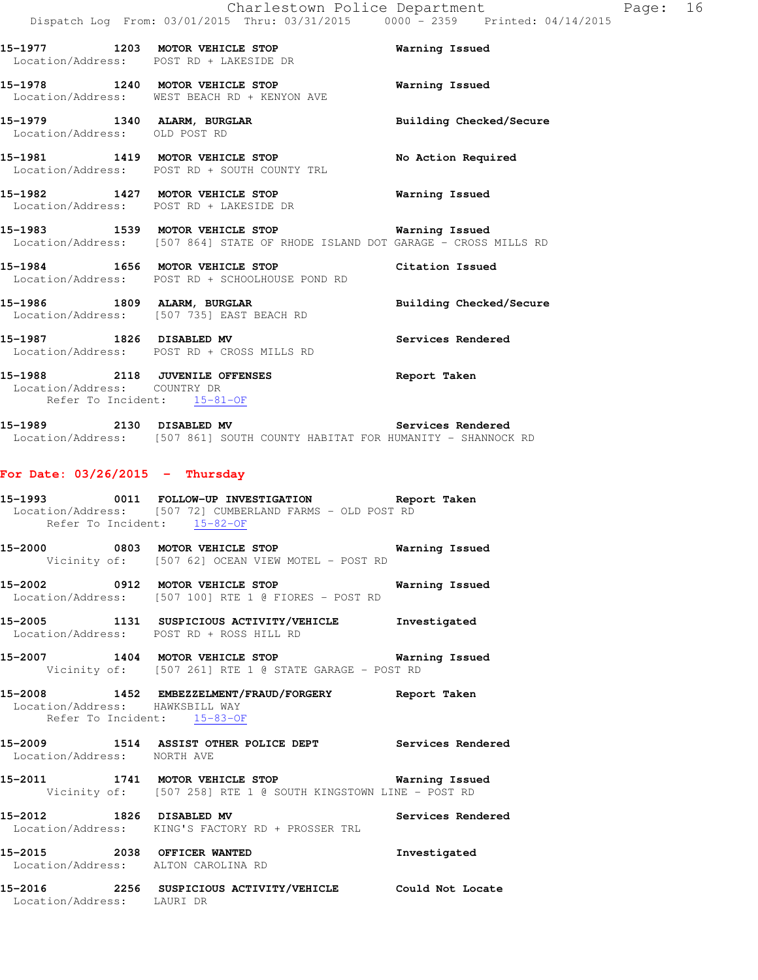Page: 16

|                                   | Charlestown Police Department<br>Dispatch Log From: 03/01/2015 Thru: 03/31/2015 0000 - 2359 Printed: 04                                       |                         |
|-----------------------------------|-----------------------------------------------------------------------------------------------------------------------------------------------|-------------------------|
|                                   | 15-1977 1203 MOTOR VEHICLE STOP<br>Location/Address: POST RD + LAKESIDE DR                                                                    | Warning Issued          |
|                                   | 15-1978 1240 MOTOR VEHICLE STOP<br>Location/Address: WEST BEACH RD + KENYON AVE                                                               | Warning Issued          |
| Location/Address: OLD POST RD     | 15-1979 1340 ALARM, BURGLAR                                                                                                                   | Building Checked/Secure |
|                                   | 15-1981 1419 MOTOR VEHICLE STOP<br>Location/Address: POST RD + SOUTH COUNTY TRL                                                               | No Action Required      |
|                                   | 15-1982 1427 MOTOR VEHICLE STOP<br>Location/Address: POST RD + LAKESIDE DR                                                                    | Warning Issued          |
|                                   | 15-1983 1539 MOTOR VEHICLE STOP <b>WATER</b> Warning Issued<br>Location/Address: [507 864] STATE OF RHODE ISLAND DOT GARAGE - CROSS MILLS RD  |                         |
|                                   | 15-1984 1656 MOTOR VEHICLE STOP<br>Location/Address: POST RD + SCHOOLHOUSE POND RD                                                            | Citation Issued         |
| 15-1986 1809 ALARM, BURGLAR       | Location/Address: [507 735] EAST BEACH RD                                                                                                     | Building Checked/Secure |
|                                   | 15-1987 1826 DISABLED MV<br>Location/Address: POST RD + CROSS MILLS RD                                                                        | Services Rendered       |
| Location/Address: COUNTRY DR      | 15-1988 2118 JUVENILE OFFENSES<br>Refer To Incident: 15-81-OF                                                                                 | Report Taken            |
| 15-1989 2130 DISABLED MV          | Location/Address: [507 861] SOUTH COUNTY HABITAT FOR HUMANITY - SHANNOCK RD                                                                   | Services Rendered       |
| For Date: $03/26/2015$ - Thursday |                                                                                                                                               |                         |
|                                   | 15-1993 0011 FOLLOW-UP INVESTIGATION Report Taken<br>Location/Address: [507 72] CUMBERLAND FARMS - OLD POST RD<br>Refer To Incident: 15-82-OF |                         |
|                                   | 15-2000 0803 MOTOR VEHICLE STOP<br>Vicinity of: [507 62] OCEAN VIEW MOTEL - POST RD                                                           | Warning Issued          |
|                                   | 15-2002 0912 MOTOR VEHICLE STOP<br>Location/Address: [507 100] RTE 1 @ FIORES - POST RD                                                       | Warning Issued          |
|                                   | 15-2005 1131 SUSPICIOUS ACTIVITY/VEHICLE Investigated<br>Location/Address: POST RD + ROSS HILL RD                                             |                         |
|                                   | 15-2007 1404 MOTOR VEHICLE STOP 6 Warning Issued<br>Vicinity of: [507 261] RTE 1 @ STATE GARAGE - POST RD                                     |                         |
| Location/Address: HAWKSBILL WAY   | 15-2008 1452 EMBEZZELMENT/FRAUD/FORGERY Report Taken<br>Refer To Incident: 15-83-OF                                                           |                         |
| Location/Address: NORTH AVE       | 15-2009 1514 ASSIST OTHER POLICE DEPT Services Rendered                                                                                       |                         |
|                                   | 15-2011 1741 MOTOR VEHICLE STOP <b>Warning Issued</b><br>Vicinity of: [507 258] RTE 1 @ SOUTH KINGSTOWN LINE - POST RD                        |                         |
| 15-2012 1826 DISABLED MV          | Location/Address: KING'S FACTORY RD + PROSSER TRL                                                                                             | Services Rendered       |
| 15-2015 2038 OFFICER WANTED       | Location/Address: ALTON CAROLINA RD                                                                                                           | Investigated            |

**15-2016 2256 SUSPICIOUS ACTIVITY/VEHICLE Could Not Locate**  Location/Address: LAURI DR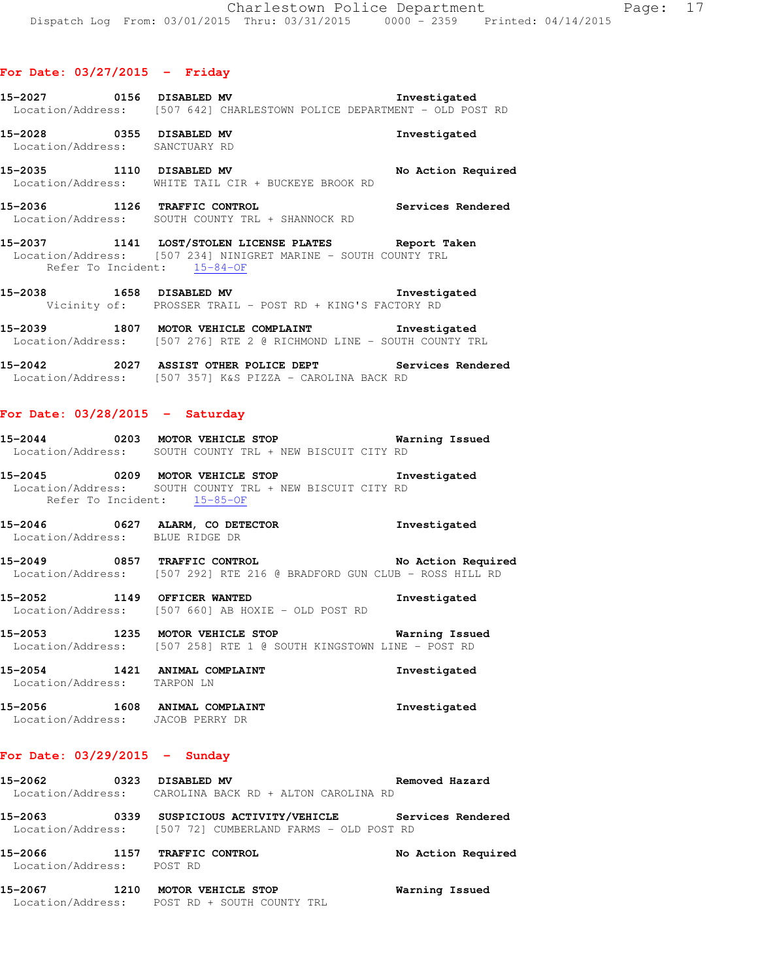- **15-2027 0156 DISABLED MV Investigated**  Location/Address: [507 642] CHARLESTOWN POLICE DEPARTMENT - OLD POST RD
- **15-2028 0355 DISABLED MV Investigated**  Location/Address: SANCTUARY RD
- **15-2035 1110 DISABLED MV No Action Required**  Location/Address: WHITE TAIL CIR + BUCKEYE BROOK RD
- **15-2036 1126 TRAFFIC CONTROL Services Rendered**  Location/Address: SOUTH COUNTY TRL + SHANNOCK RD
- **15-2037 1141 LOST/STOLEN LICENSE PLATES Report Taken**  Location/Address: [507 234] NINIGRET MARINE - SOUTH COUNTY TRL Refer To Incident: 15-84-OF
- **15-2038 1658 DISABLED MV Investigated**  Vicinity of: PROSSER TRAIL - POST RD + KING'S FACTORY RD
- **15-2039 1807 MOTOR VEHICLE COMPLAINT Investigated**  Location/Address: [507 276] RTE 2 @ RICHMOND LINE - SOUTH COUNTY TRL
- **15-2042 2027 ASSIST OTHER POLICE DEPT Services Rendered**  Location/Address: [507 357] K&S PIZZA - CAROLINA BACK RD

### **For Date: 03/28/2015 - Saturday**

- **15-2044 0203 MOTOR VEHICLE STOP Warning Issued**  Location/Address: SOUTH COUNTY TRL + NEW BISCUIT CITY RD
- **15-2045 0209 MOTOR VEHICLE STOP Investigated**  Location/Address: SOUTH COUNTY TRL + NEW BISCUIT CITY RD Refer To Incident: 15-85-OF
- **15-2046 0627 ALARM, CO DETECTOR Investigated**  Location/Address: BLUE RIDGE DR
- **15-2049 0857 TRAFFIC CONTROL No Action Required**  Location/Address: [507 292] RTE 216 @ BRADFORD GUN CLUB - ROSS HILL RD
- **15-2052 1149 OFFICER WANTED Investigated**  Location/Address: [507 660] AB HOXIE - OLD POST RD
- **15-2053 1235 MOTOR VEHICLE STOP Warning Issued**  Location/Address: [507 258] RTE 1 @ SOUTH KINGSTOWN LINE - POST RD
- **15-2054 1421 ANIMAL COMPLAINT Investigated**  Location/Address: TARPON LN
- 15-2056 1608 ANIMAL COMPLAINT **15-2056** Investigated Location/Address: JACOB PERRY DR

### **For Date: 03/29/2015 - Sunday**

- **15-2062 0323 DISABLED MV Removed Hazard**  Location/Address: CAROLINA BACK RD + ALTON CAROLINA RD **15-2063 0339 SUSPICIOUS ACTIVITY/VEHICLE Services Rendered**  Location/Address: [507 72] CUMBERLAND FARMS - OLD POST RD **15-2066 1157 TRAFFIC CONTROL No Action Required**  Location/Address: POST RD
- **15-2067 1210 MOTOR VEHICLE STOP Warning Issued**  Location/Address: POST RD + SOUTH COUNTY TRL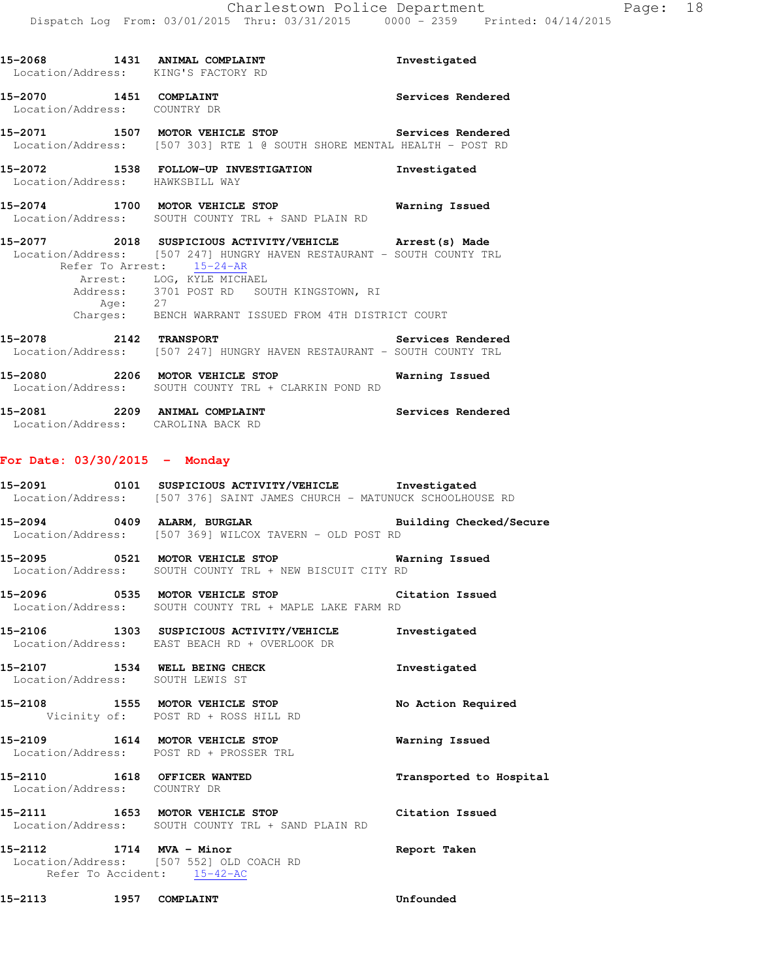|                                                        | 15-2068 1431 ANIMAL COMPLAINT<br>Location/Address: KING'S FACTORY RD                                                                                                                                                                                                                                          | Investigated      |
|--------------------------------------------------------|---------------------------------------------------------------------------------------------------------------------------------------------------------------------------------------------------------------------------------------------------------------------------------------------------------------|-------------------|
| 15-2070 1451 COMPLAINT<br>Location/Address: COUNTRY DR |                                                                                                                                                                                                                                                                                                               | Services Rendered |
|                                                        | 15-2071 1507 MOTOR VEHICLE STOP 15-2071<br>Location/Address: [507 303] RTE 1 @ SOUTH SHORE MENTAL HEALTH - POST RD                                                                                                                                                                                            |                   |
| Location/Address: HAWKSBILL WAY                        | 15-2072 1538 FOLLOW-UP INVESTIGATION 1nvestigated                                                                                                                                                                                                                                                             |                   |
|                                                        | 15-2074 1700 MOTOR VEHICLE STOP 6 Warning Issued<br>Location/Address: SOUTH COUNTY TRL + SAND PLAIN RD                                                                                                                                                                                                        |                   |
|                                                        | 15-2077 2018 SUSPICIOUS ACTIVITY/VEHICLE Arrest (s) Made<br>Location/Address: [507 247] HUNGRY HAVEN RESTAURANT - SOUTH COUNTY TRL<br>Refer To Arrest: 15-24-AR<br>Arrest: LOG, KYLE MICHAEL<br>Address: 3701 POST RD SOUTH KINGSTOWN, RI<br>Age: 27<br>Charges: BENCH WARRANT ISSUED FROM 4TH DISTRICT COURT |                   |
|                                                        | 15-2078 2142 TRANSPORT Services Rendered<br>Location/Address: [507 247] HUNGRY HAVEN RESTAURANT - SOUTH COUNTY TRL                                                                                                                                                                                            |                   |
|                                                        | 15-2080 2206 MOTOR VEHICLE STOP Warning Issued<br>Location/Address: SOUTH COUNTY TRL + CLARKIN POND RD                                                                                                                                                                                                        |                   |
|                                                        | 15-2081 2209 ANIMAL COMPLAINT<br>Location/Address: CAROLINA BACK RD                                                                                                                                                                                                                                           | Services Rendered |
| For Date: $03/30/2015$ - Monday                        |                                                                                                                                                                                                                                                                                                               |                   |
|                                                        | 15-2091 0101 SUSPICIOUS ACTIVITY/VEHICLE Investigated<br>Location/Address: [507 376] SAINT JAMES CHURCH - MATUNUCK SCHOOLHOUSE RD                                                                                                                                                                             |                   |
|                                                        | 15-2094 0409 ALARM, BURGLAR <b>BURGLAR</b> Building Checked/Secure<br>Location/Address: [507 369] WILCOX TAVERN - OLD POST RD                                                                                                                                                                                 |                   |

**15-2095 0521 MOTOR VEHICLE STOP Warning Issued**  Location/Address: SOUTH COUNTY TRL + NEW BISCUIT CITY RD

**15-2096 0535 MOTOR VEHICLE STOP Citation Issued**  Location/Address: SOUTH COUNTY TRL + MAPLE LAKE FARM RD

**15-2106 1303 SUSPICIOUS ACTIVITY/VEHICLE Investigated**  Location/Address: EAST BEACH RD + OVERLOOK DR

15-2107 1534 WELL BEING CHECK **Investigated** Location/Address: SOUTH LEWIS ST

**15-2108 1555 MOTOR VEHICLE STOP No Action Required**  Vicinity of: POST RD + ROSS HILL RD

**15-2109 1614 MOTOR VEHICLE STOP Warning Issued**  Location/Address: POST RD + PROSSER TRL

**15-2110 1618 OFFICER WANTED Transported to Hospital**  Location/Address: COUNTRY DR **15-2111 1653 MOTOR VEHICLE STOP Citation Issued** 

 Location/Address: SOUTH COUNTY TRL + SAND PLAIN RD **15-2112 1714 MVA - Minor Report Taken** 

 Location/Address: [507 552] OLD COACH RD Refer To Accident: 15-42-AC

**15-2113 1957 COMPLAINT Unfounded**